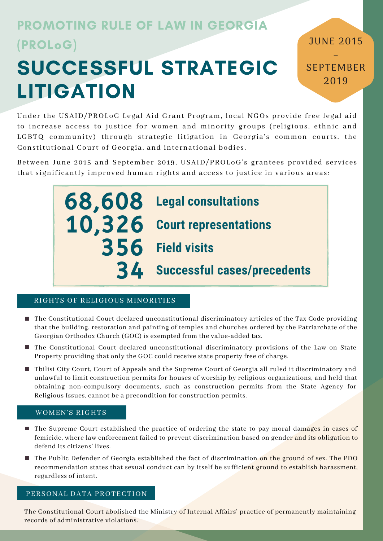# PROMOTING RULE OF LAW IN GEORGIA (PROLoG)

# SUCCESSFUL STRATEGIC LITIGATION

– SEPTEMBER 2019

JUNE 2015

Under the USAID/PROLoG Legal Aid Grant Program, local NGOs provide free legal aid to increase access to justice for women and minority groups (religious, ethnic and LGBTQ community) through strategic litigation in Georgia's common courts, the Constitutional Court of Georgia, and international bodies.

Between June 2015 and September 2019, USAID/PROLoG's grantees provided services that significantly improved human rights and access to justice in various areas:

> 68,608 **Legal consultations** 10,326 **Court representations Successful cases/precedents** 34 356 **Field visits**

# RIGHTS OF RELIGIOUS MINORITIES

- The Constitutional Court declared unconstitutional discriminatory articles of the Tax Code providing that the building, restoration and painting of temples and churches ordered by the Patriarchate of the Georgian Orthodox Church (GOC) is exempted from the value-added tax.
- The Constitutional Court declared unconstitutional discriminatory provisions of the Law on State Property providing that only the GOC could receive state property free of charge.
- Tbilisi City Court, Court of Appeals and the Supreme Court of Georgia all ruled it discriminatory and unlawful to limit construction permits for houses of worship by religious organizations, and held that obtaining non-compulsory documents, such as construction permits from the State Agency for Religious Issues, cannot be a precondition for construction permits.

# WOMEN'S RIGHTS

- **The Supreme Court established the practice of ordering the state to pay moral damages in cases of** femicide, where law enforcement failed to prevent discrimination based on gender and its obligation to defend its citizens' lives.
- The Public Defender of Georgia established the fact of discrimination on the ground of sex. The PDO recommendation states that sexual conduct can by itself be sufficient ground to establish harassment, regardless of intent.

# PERSONAL DATA PROTECTION

The Constitutional Court abolished the Ministry of Internal Affairs' practice of permanently maintaining records of administrative violations.